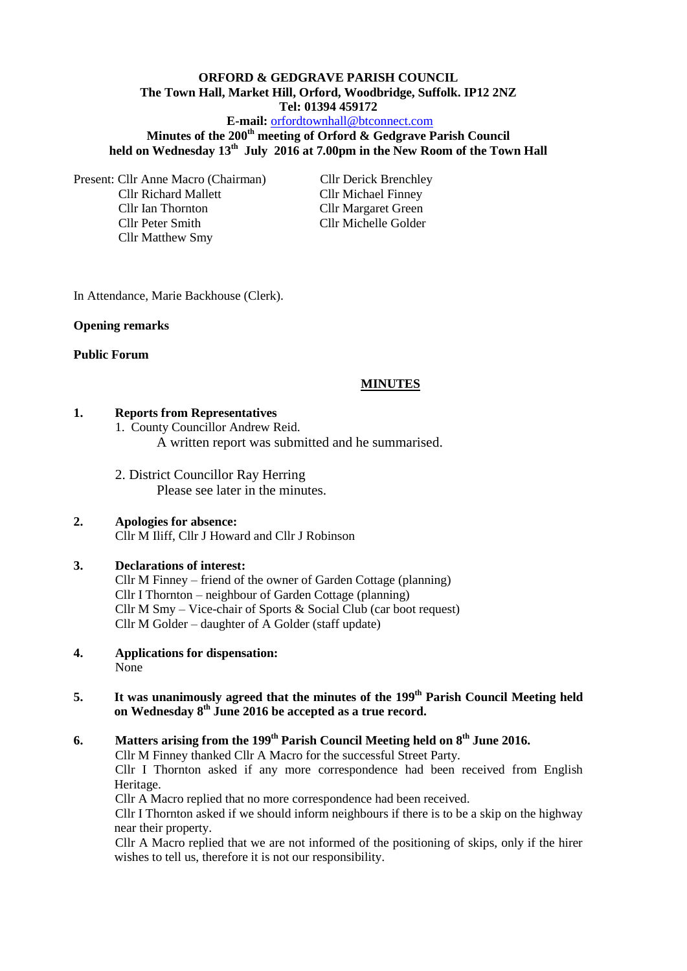### **ORFORD & GEDGRAVE PARISH COUNCIL The Town Hall, Market Hill, Orford, Woodbridge, Suffolk. IP12 2NZ Tel: 01394 459172 E-mail:** [orfordtownhall@btconnect.com](mailto:orfordtownhall@btconnect.com)

# **Minutes of the 200th meeting of Orford & Gedgrave Parish Council held on Wednesday 13th July 2016 at 7.00pm in the New Room of the Town Hall**

Present: Cllr Anne Macro (Chairman) Cllr Derick Brenchley Cllr Richard Mallett Cllr Michael Finney Cllr Ian Thornton Cllr Margaret Green Cllr Peter Smith Cllr Michelle Golder Cllr Matthew Smy

In Attendance, Marie Backhouse (Clerk).

## **Opening remarks**

## **Public Forum**

# **MINUTES**

## **1. Reports from Representatives**

1. County Councillor Andrew Reid.

A written report was submitted and he summarised.

2. District Councillor Ray Herring Please see later in the minutes.

#### **2. Apologies for absence:** Cllr M Iliff, Cllr J Howard and Cllr J Robinson

## **3. Declarations of interest:**

Cllr M Finney – friend of the owner of Garden Cottage (planning) Cllr I Thornton – neighbour of Garden Cottage (planning) Cllr M Smy – Vice-chair of Sports & Social Club (car boot request) Cllr M Golder – daughter of A Golder (staff update)

**4. Applications for dispensation:** None

## **5. It was unanimously agreed that the minutes of the 199th Parish Council Meeting held on Wednesday 8th June 2016 be accepted as a true record.**

# **6. Matters arising from the 199th Parish Council Meeting held on 8th June 2016.**

Cllr M Finney thanked Cllr A Macro for the successful Street Party.

Cllr I Thornton asked if any more correspondence had been received from English Heritage.

Cllr A Macro replied that no more correspondence had been received.

Cllr I Thornton asked if we should inform neighbours if there is to be a skip on the highway near their property.

Cllr A Macro replied that we are not informed of the positioning of skips, only if the hirer wishes to tell us, therefore it is not our responsibility.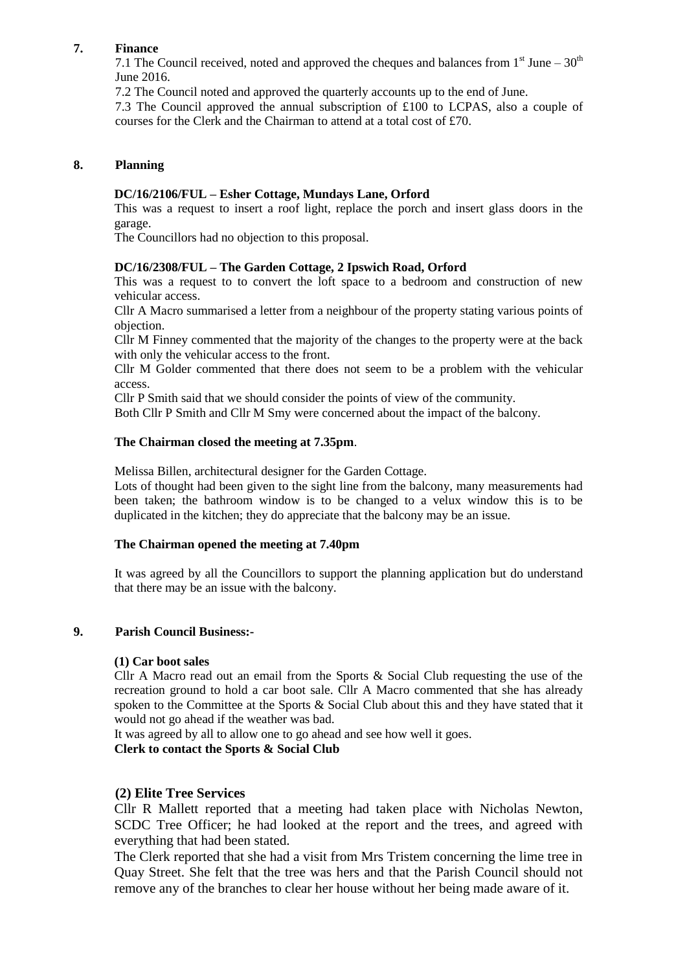## **7. Finance**

7.1 The Council received, noted and approved the cheques and balances from  $1<sup>st</sup>$  June –  $30<sup>th</sup>$ June 2016.

7.2 The Council noted and approved the quarterly accounts up to the end of June.

7.3 The Council approved the annual subscription of £100 to LCPAS, also a couple of courses for the Clerk and the Chairman to attend at a total cost of £70.

## **8. Planning**

### **DC/16/2106/FUL – Esher Cottage, Mundays Lane, Orford**

This was a request to insert a roof light, replace the porch and insert glass doors in the garage.

The Councillors had no objection to this proposal.

## **DC/16/2308/FUL – The Garden Cottage, 2 Ipswich Road, Orford**

This was a request to to convert the loft space to a bedroom and construction of new vehicular access.

Cllr A Macro summarised a letter from a neighbour of the property stating various points of objection.

Cllr M Finney commented that the majority of the changes to the property were at the back with only the vehicular access to the front.

Cllr M Golder commented that there does not seem to be a problem with the vehicular access.

Cllr P Smith said that we should consider the points of view of the community.

Both Cllr P Smith and Cllr M Smy were concerned about the impact of the balcony.

#### **The Chairman closed the meeting at 7.35pm**.

Melissa Billen, architectural designer for the Garden Cottage.

Lots of thought had been given to the sight line from the balcony, many measurements had been taken; the bathroom window is to be changed to a velux window this is to be duplicated in the kitchen; they do appreciate that the balcony may be an issue.

#### **The Chairman opened the meeting at 7.40pm**

It was agreed by all the Councillors to support the planning application but do understand that there may be an issue with the balcony.

#### **9. Parish Council Business:-**

#### **(1) Car boot sales**

Cllr A Macro read out an email from the Sports & Social Club requesting the use of the recreation ground to hold a car boot sale. Cllr A Macro commented that she has already spoken to the Committee at the Sports & Social Club about this and they have stated that it would not go ahead if the weather was bad.

It was agreed by all to allow one to go ahead and see how well it goes.

**Clerk to contact the Sports & Social Club**

## **(2) Elite Tree Services**

Cllr R Mallett reported that a meeting had taken place with Nicholas Newton, SCDC Tree Officer; he had looked at the report and the trees, and agreed with everything that had been stated.

The Clerk reported that she had a visit from Mrs Tristem concerning the lime tree in Quay Street. She felt that the tree was hers and that the Parish Council should not remove any of the branches to clear her house without her being made aware of it.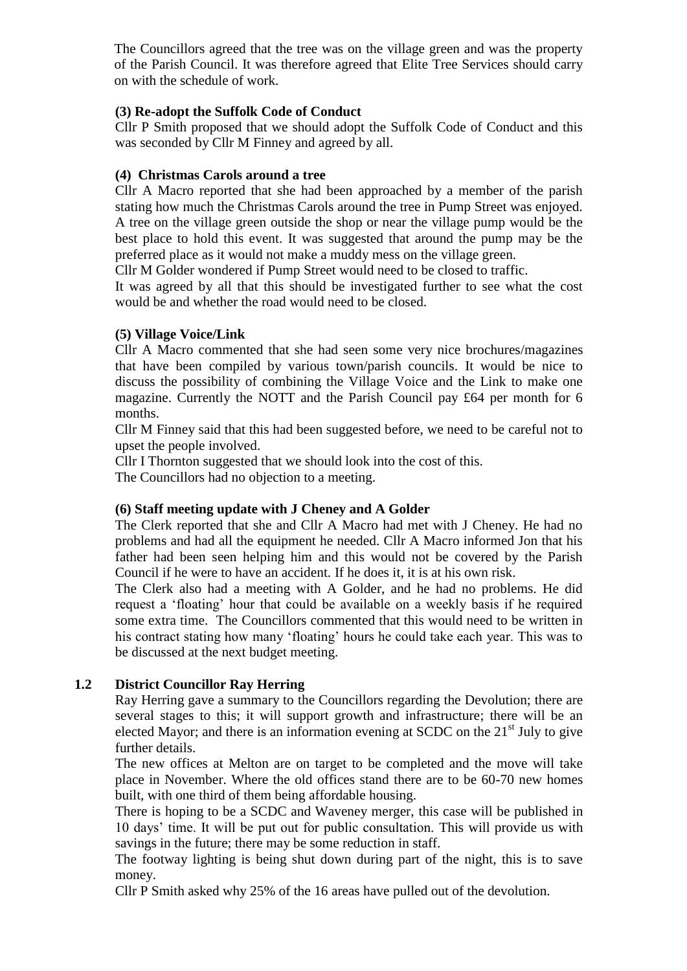The Councillors agreed that the tree was on the village green and was the property of the Parish Council. It was therefore agreed that Elite Tree Services should carry on with the schedule of work.

# **(3) Re-adopt the Suffolk Code of Conduct**

Cllr P Smith proposed that we should adopt the Suffolk Code of Conduct and this was seconded by Cllr M Finney and agreed by all.

# **(4) Christmas Carols around a tree**

Cllr A Macro reported that she had been approached by a member of the parish stating how much the Christmas Carols around the tree in Pump Street was enjoyed. A tree on the village green outside the shop or near the village pump would be the best place to hold this event. It was suggested that around the pump may be the preferred place as it would not make a muddy mess on the village green.

Cllr M Golder wondered if Pump Street would need to be closed to traffic.

It was agreed by all that this should be investigated further to see what the cost would be and whether the road would need to be closed.

# **(5) Village Voice/Link**

Cllr A Macro commented that she had seen some very nice brochures/magazines that have been compiled by various town/parish councils. It would be nice to discuss the possibility of combining the Village Voice and the Link to make one magazine. Currently the NOTT and the Parish Council pay £64 per month for 6 months.

Cllr M Finney said that this had been suggested before, we need to be careful not to upset the people involved.

Cllr I Thornton suggested that we should look into the cost of this.

The Councillors had no objection to a meeting.

## **(6) Staff meeting update with J Cheney and A Golder**

The Clerk reported that she and Cllr A Macro had met with J Cheney. He had no problems and had all the equipment he needed. Cllr A Macro informed Jon that his father had been seen helping him and this would not be covered by the Parish Council if he were to have an accident. If he does it, it is at his own risk.

The Clerk also had a meeting with A Golder, and he had no problems. He did request a 'floating' hour that could be available on a weekly basis if he required some extra time. The Councillors commented that this would need to be written in his contract stating how many 'floating' hours he could take each year. This was to be discussed at the next budget meeting.

# **1.2 District Councillor Ray Herring**

Ray Herring gave a summary to the Councillors regarding the Devolution; there are several stages to this; it will support growth and infrastructure; there will be an elected Mayor; and there is an information evening at SCDC on the  $21<sup>st</sup>$  July to give further details.

The new offices at Melton are on target to be completed and the move will take place in November. Where the old offices stand there are to be 60-70 new homes built, with one third of them being affordable housing.

There is hoping to be a SCDC and Waveney merger, this case will be published in 10 days' time. It will be put out for public consultation. This will provide us with savings in the future; there may be some reduction in staff.

The footway lighting is being shut down during part of the night, this is to save money.

Cllr P Smith asked why 25% of the 16 areas have pulled out of the devolution.